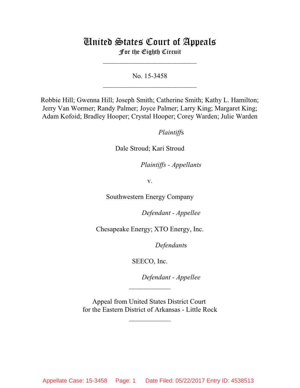# United States Court of Appeals For the Eighth Circuit

\_\_\_\_\_\_\_\_\_\_\_\_\_\_\_\_\_\_\_\_\_\_\_\_\_\_\_

No. 15-3458  $\mathcal{L}_\text{max}$  , which is a set of the set of the set of the set of the set of the set of the set of the set of the set of the set of the set of the set of the set of the set of the set of the set of the set of the set of

Robbie Hill; Gwenna Hill; Joseph Smith; Catherine Smith; Kathy L. Hamilton; Jerry Van Wormer; Randy Palmer; Joyce Palmer; Larry King; Margaret King; Adam Kofoid; Bradley Hooper; Crystal Hooper; Corey Warden; Julie Warden

*Plaintiffs* 

Dale Stroud; Kari Stroud

*Plaintiffs - Appellants* 

v.

Southwestern Energy Company

Defendant - Appellee

Chesapeake Energy; XTO Energy, Inc.

Defendants

SEECO, Inc.

Defendant - Appellee

Appeal from United States District Court for the Eastern District of Arkansas - Little Rock

 $\frac{1}{2}$ 

 $\frac{1}{2}$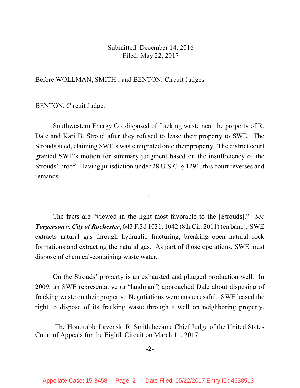Submitted: December 14, 2016 Filed: May 22, 2017

 $\overline{\phantom{a}}$  , where  $\overline{\phantom{a}}$ 

 $\frac{1}{2}$ 

Before WOLLMAN, SMITH<sup>1</sup>, and BENTON, Circuit Judges.

BENTON, Circuit Judge.

Southwestern Energy Co. disposed of fracking waste near the property of R. Dale and Kari B. Stroud after they refused to lease their property to SWE. The Strouds sued, claiming SWE's waste migrated onto their property. The district court granted SWE's motion for summary judgment based on the insufficiency of the Strouds' proof. Having jurisdiction under 28 U.S.C. § 1291, this court reverses and remands.

I.

The facts are "viewed in the light most favorable to the [Strouds]." *See Torgerson v. City of Rochester*, 643 F.3d 1031, 1042 (8th Cir. 2011) (en banc). SWE extracts natural gas through hydraulic fracturing, breaking open natural rock formations and extracting the natural gas. As part of those operations, SWE must dispose of chemical-containing waste water.

On the Strouds' property is an exhausted and plugged production well. In 2009, an SWE representative (a "landman") approached Dale about disposing of fracking waste on their property. Negotiations were unsuccessful. SWE leased the right to dispose of its fracking waste through a well on neighboring property.

<sup>&</sup>lt;sup>1</sup>The Honorable Lavenski R. Smith became Chief Judge of the United States Court of Appeals for the Eighth Circuit on March 11, 2017.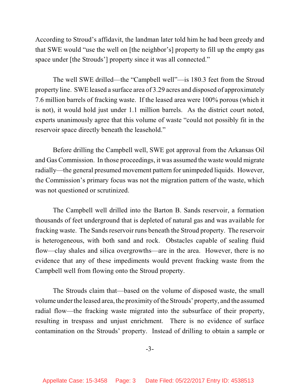According to Stroud's affidavit, the landman later told him he had been greedy and that SWE would "use the well on [the neighbor's] property to fill up the empty gas space under [the Strouds'] property since it was all connected."

The well SWE drilled—the "Campbell well"—is 180.3 feet from the Stroud property line. SWE leased a surface area of 3.29 acres and disposed of approximately 7.6 million barrels of fracking waste. If the leased area were 100% porous (which it is not), it would hold just under 1.1 million barrels. As the district court noted, experts unanimously agree that this volume of waste "could not possibly fit in the reservoir space directly beneath the leasehold."

Before drilling the Campbell well, SWE got approval from the Arkansas Oil and Gas Commission. In those proceedings, it was assumed the waste would migrate radially—the general presumed movement pattern for unimpeded liquids. However, the Commission's primary focus was not the migration pattern of the waste, which was not questioned or scrutinized.

The Campbell well drilled into the Barton B. Sands reservoir, a formation thousands of feet underground that is depleted of natural gas and was available for fracking waste. The Sands reservoir runs beneath the Stroud property. The reservoir is heterogeneous, with both sand and rock. Obstacles capable of sealing fluid flow—clay shales and silica overgrowths—are in the area. However, there is no evidence that any of these impediments would prevent fracking waste from the Campbell well from flowing onto the Stroud property.

The Strouds claim that—based on the volume of disposed waste, the small volume under the leased area, the proximity of the Strouds' property, and the assumed radial flow—the fracking waste migrated into the subsurface of their property, resulting in trespass and unjust enrichment. There is no evidence of surface contamination on the Strouds' property. Instead of drilling to obtain a sample or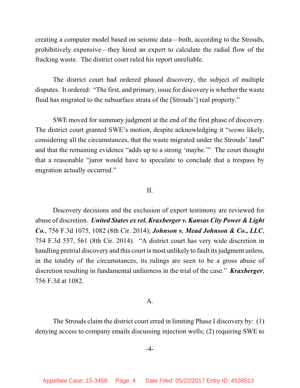creating a computer model based on seismic data—both, according to the Strouds, prohibitively expensive—they hired an expert to calculate the radial flow of the fracking waste. The district court ruled his report unreliable.

The district court had ordered phased discovery, the subject of multiple disputes. It ordered: "The first, and primary, issue for discovery is whether the waste fluid has migrated to the subsurface strata of the [Strouds'] real property."

SWE moved for summary judgment at the end of the first phase of discovery. The district court granted SWE's motion, despite acknowledging it "*seems* likely, considering all the circumstances, that the waste migrated under the Strouds' land" and that the remaining evidence "adds up to a strong 'maybe.'" The court thought that a reasonable "juror would have to speculate to conclude that a trespass by migration actually occurred."

#### II.

Discovery decisions and the exclusion of expert testimony are reviewed for abuse of discretion. *United States ex rel. Kraxberger v. Kansas City Power & Light Co.*, 756 F.3d 1075, 1082 (8th Cir. 2014); *Johnson v. Mead Johnson & Co., LLC*, 754 F.3d 557, 561 (8th Cir. 2014). "A district court has very wide discretion in handling pretrial discovery and this court is most unlikely to fault its judgment unless, in the totality of the circumstances, its rulings are seen to be a gross abuse of discretion resulting in fundamental unfairness in the trial of the case." *Kraxberger*, 756 F.3d at 1082.

## A.

The Strouds claim the district court erred in limiting Phase I discovery by: (1) denying access to company emails discussing injection wells; (2) requiring SWE to

#### -4-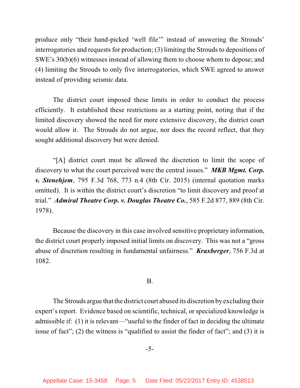produce only "their hand-picked 'well file'" instead of answering the Strouds' interrogatories and requests for production; (3) limiting the Strouds to depositions of SWE's 30(b)(6) witnesses instead of allowing them to choose whom to depose; and (4) limiting the Strouds to only five interrogatories, which SWE agreed to answer instead of providing seismic data.

The district court imposed these limits in order to conduct the process efficiently. It established these restrictions as a starting point, noting that if the limited discovery showed the need for more extensive discovery, the district court would allow it. The Strouds do not argue, nor does the record reflect, that they sought additional discovery but were denied.

"[A] district court must be allowed the discretion to limit the scope of discovery to what the court perceived were the central issues." *MKB Mgmt. Corp. v. Stenehjem*, 795 F.3d 768, 773 n.4 (8th Cir. 2015) (internal quotation marks omitted). It is within the district court's discretion "to limit discovery and proof at trial." *Admiral Theatre Corp. v. Douglas Theatre Co.*, 585 F.2d 877, 889 (8th Cir. 1978).

Because the discovery in this case involved sensitive proprietary information, the district court properly imposed initial limits on discovery. This was not a "gross abuse of discretion resulting in fundamental unfairness." *Kraxberger*, 756 F.3d at 1082.

# B.

The Strouds argue that the district court abused its discretion by excluding their expert's report. Evidence based on scientific, technical, or specialized knowledge is admissible if: (1) it is relevant—"useful to the finder of fact in deciding the ultimate issue of fact"; (2) the witness is "qualified to assist the finder of fact"; and (3) it is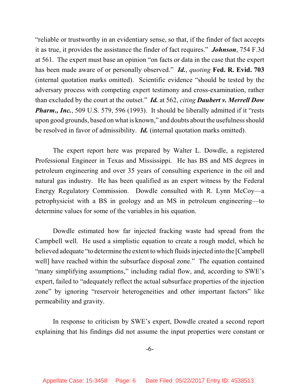"reliable or trustworthy in an evidentiary sense, so that, if the finder of fact accepts it as true, it provides the assistance the finder of fact requires." *Johnson*, 754 F.3d at 561. The expert must base an opinion "on facts or data in the case that the expert has been made aware of or personally observed." *Id.*, *quoting* **Fed. R. Evid. 703** (internal quotation marks omitted). Scientific evidence "should be tested by the adversary process with competing expert testimony and cross-examination, rather than excluded by the court at the outset." *Id.* at 562, *citing Daubert v. Merrell Dow Pharm., Inc.*, 509 U.S. 579, 596 (1993). It should be liberally admitted if it "rests" upon good grounds, based on what is known," and doubts about the usefulness should be resolved in favor of admissibility. *Id.* (internal quotation marks omitted).

The expert report here was prepared by Walter L. Dowdle, a registered Professional Engineer in Texas and Mississippi. He has BS and MS degrees in petroleum engineering and over 35 years of consulting experience in the oil and natural gas industry. He has been qualified as an expert witness by the Federal Energy Regulatory Commission. Dowdle consulted with R. Lynn McCoy—a petrophysicist with a BS in geology and an MS in petroleum engineering—to determine values for some of the variables in his equation.

Dowdle estimated how far injected fracking waste had spread from the Campbell well. He used a simplistic equation to create a rough model, which he believed adequate "to determine the extent to which fluids injected into the [Campbell well] have reached within the subsurface disposal zone." The equation contained "many simplifying assumptions," including radial flow, and, according to SWE's expert, failed to "adequately reflect the actual subsurface properties of the injection zone" by ignoring "reservoir heterogeneities and other important factors" like permeability and gravity.

In response to criticism by SWE's expert, Dowdle created a second report explaining that his findings did not assume the input properties were constant or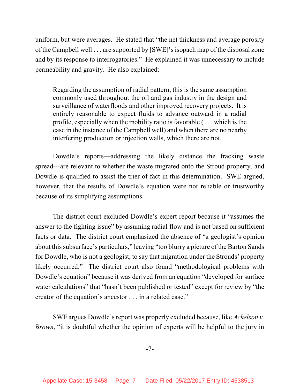uniform, but were averages. He stated that "the net thickness and average porosity of the Campbell well . . . are supported by [SWE]'s isopach map of the disposal zone and by its response to interrogatories." He explained it was unnecessary to include permeability and gravity. He also explained:

Regarding the assumption of radial pattern, this is the same assumption commonly used throughout the oil and gas industry in the design and surveillance of waterfloods and other improved recovery projects. It is entirely reasonable to expect fluids to advance outward in a radial profile, especially when the mobility ratio is favorable ( . . . which is the case in the instance of the Campbell well) and when there are no nearby interfering production or injection walls, which there are not.

Dowdle's reports—addressing the likely distance the fracking waste spread—are relevant to whether the waste migrated onto the Stroud property, and Dowdle is qualified to assist the trier of fact in this determination. SWE argued, however, that the results of Dowdle's equation were not reliable or trustworthy because of its simplifying assumptions.

The district court excluded Dowdle's expert report because it "assumes the answer to the fighting issue" by assuming radial flow and is not based on sufficient facts or data. The district court emphasized the absence of "a geologist's opinion about this subsurface's particulars," leaving "too blurry a picture of the Barton Sands for Dowdle, who is not a geologist, to say that migration under the Strouds' property likely occurred." The district court also found "methodological problems with Dowdle's equation" because it was derived from an equation "developed for surface water calculations" that "hasn't been published or tested" except for review by "the creator of the equation's ancestor . . . in a related case."

SWE argues Dowdle's report was properly excluded because, like *Ackelson v. Brown*, "it is doubtful whether the opinion of experts will be helpful to the jury in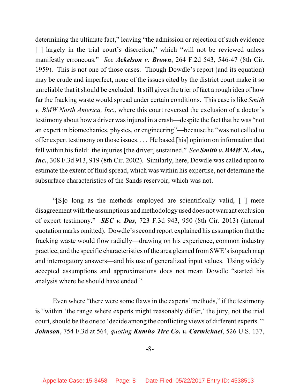determining the ultimate fact," leaving "the admission or rejection of such evidence [] largely in the trial court's discretion," which "will not be reviewed unless manifestly erroneous." *See Ackelson v. Brown*, 264 F.2d 543, 546-47 (8th Cir. 1959). This is not one of those cases. Though Dowdle's report (and its equation) may be crude and imperfect, none of the issues cited by the district court make it so unreliable that it should be excluded. It still gives the trier of fact a rough idea of how far the fracking waste would spread under certain conditions. This case is like *Smith v. BMW North America, Inc.*, where this court reversed the exclusion of a doctor's testimony about how a driver wasinjured in a crash—despite the fact that he was "not an expert in biomechanics, physics, or engineering"—because he "was not called to offer expert testimony on those issues. . . . He based [his] opinion on information that fell within his field: the injuries [the driver] sustained." *See Smith v. BMW N. Am., Inc.*, 308 F.3d 913, 919 (8th Cir. 2002). Similarly, here, Dowdle was called upon to estimate the extent of fluid spread, which was within his expertise, not determine the subsurface characteristics of the Sands reservoir, which was not.

"[S]o long as the methods employed are scientifically valid, [ ] mere disagreement with the assumptions and methodology used does not warrant exclusion of expert testimony." *SEC v. Das*, 723 F.3d 943, 950 (8th Cir. 2013) (internal quotation marks omitted). Dowdle's second report explained his assumption that the fracking waste would flow radially—drawing on his experience, common industry practice, and the specific characteristics of the area gleaned fromSWE's isopach map and interrogatory answers—and his use of generalized input values. Using widely accepted assumptions and approximations does not mean Dowdle "started his analysis where he should have ended."

Even where "there were some flaws in the experts' methods," if the testimony is "within 'the range where experts might reasonably differ,' the jury, not the trial court, should be the one to 'decide among the conflicting views of different experts.'" *Johnson*, 754 F.3d at 564, *quoting Kumho Tire Co. v. Carmichael*, 526 U.S. 137,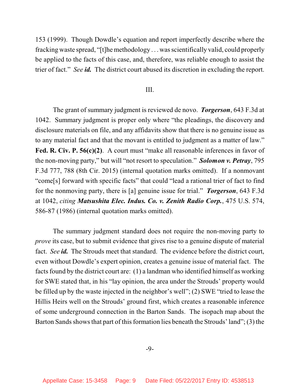153 (1999). Though Dowdle's equation and report imperfectly describe where the fracking waste spread, "[t]he methodology . . . wasscientifically valid, could properly be applied to the facts of this case, and, therefore, was reliable enough to assist the trier of fact." *See id.* The district court abused its discretion in excluding the report.

### III.

The grant of summary judgment is reviewed de novo. *Torgerson*, 643 F.3d at 1042. Summary judgment is proper only where "the pleadings, the discovery and disclosure materials on file, and any affidavits show that there is no genuine issue as to any material fact and that the movant is entitled to judgment as a matter of law." **Fed. R. Civ. P. 56(c)(2)**. A court must "make all reasonable inferences in favor of the non-moving party," but will "not resort to speculation." *Solomon v. Petray*, 795 F.3d 777, 788 (8th Cir. 2015) (internal quotation marks omitted). If a nonmovant "come[s] forward with specific facts" that could "lead a rational trier of fact to find for the nonmoving party, there is [a] genuine issue for trial." *Torgerson*, 643 F.3d at 1042, *citing Matsushita Elec. Indus. Co. v. Zenith Radio Corp.*, 475 U.S. 574, 586-87 (1986) (internal quotation marks omitted).

The summary judgment standard does not require the non-moving party to *prove* its case, but to submit evidence that gives rise to a genuine dispute of material fact. *See id.* The Strouds meet that standard. The evidence before the district court, even without Dowdle's expert opinion, creates a genuine issue of material fact. The facts found by the district court are: (1) a landman who identified himself as working for SWE stated that, in his "lay opinion, the area under the Strouds' property would be filled up by the waste injected in the neighbor's well"; (2) SWE "tried to lease the Hillis Heirs well on the Strouds' ground first, which creates a reasonable inference of some underground connection in the Barton Sands. The isopach map about the Barton Sands shows that part of this formation lies beneath the Strouds' land";  $(3)$  the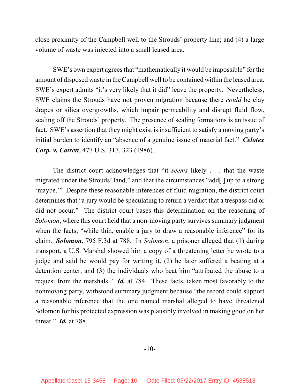close proximity of the Campbell well to the Strouds' property line; and (4) a large volume of waste was injected into a small leased area.

SWE's own expert agrees that "mathematically it would be impossible" for the amount of disposed waste in the Campbell well to be contained within the leased area. SWE's expert admits "it's very likely that it did" leave the property. Nevertheless, SWE claims the Strouds have not proven migration because there *could* be clay drapes or silica overgrowths, which impair permeability and disrupt fluid flow, sealing off the Strouds' property. The presence of sealing formations is an issue of fact. SWE's assertion that they might exist is insufficient to satisfy a moving party's initial burden to identify an "absence of a genuine issue of material fact." *Celotex Corp. v. Catrett*, 477 U.S. 317, 323 (1986).

The district court acknowledges that "it *seems* likely . . . that the waste migrated under the Strouds' land," and that the circumstances "add[ ] up to a strong 'maybe.'" Despite these reasonable inferences of fluid migration, the district court determines that "a jury would be speculating to return a verdict that a trespass did or did not occur." The district court bases this determination on the reasoning of *Solomon*, where this court held that a non-moving party survives summary judgment when the facts, "while thin, enable a jury to draw a reasonable inference" for its claim. *Solomon*, 795 F.3d at 788. In *Solomon*, a prisoner alleged that (1) during transport, a U.S. Marshal showed him a copy of a threatening letter he wrote to a judge and said he would pay for writing it, (2) he later suffered a beating at a detention center, and (3) the individuals who beat him "attributed the abuse to a request from the marshals." *Id.* at 784. These facts, taken most favorably to the nonmoving party, withstood summary judgment because "the record could support a reasonable inference that the one named marshal alleged to have threatened Solomon for his protected expression was plausibly involved in making good on her threat." *Id.* at 788.